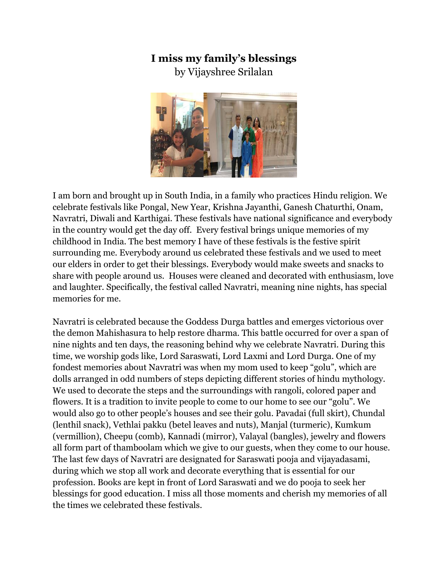## **I miss my family's blessings**

by Vijayshree Srilalan



I am born and brought up in South India, in a family who practices Hindu religion. We celebrate festivals like Pongal, New Year, Krishna Jayanthi, Ganesh Chaturthi, Onam, Navratri, Diwali and Karthigai. These festivals have national significance and everybody in the country would get the day off. Every festival brings unique memories of my childhood in India. The best memory I have of these festivals is the festive spirit surrounding me. Everybody around us celebrated these festivals and we used to meet our elders in order to get their blessings. Everybody would make sweets and snacks to share with people around us. Houses were cleaned and decorated with enthusiasm, love and laughter. Specifically, the festival called Navratri, meaning nine nights, has special memories for me.

Navratri is celebrated because the Goddess Durga battles and emerges victorious over the demon Mahishasura to help restore dharma. This battle occurred for over a span of nine nights and ten days, the reasoning behind why we celebrate Navratri. During this time, we worship gods like, Lord Saraswati, Lord Laxmi and Lord Durga. One of my fondest memories about Navratri was when my mom used to keep "golu", which are dolls arranged in odd numbers of steps depicting different stories of hindu mythology. We used to decorate the steps and the surroundings with rangoli, colored paper and flowers. It is a tradition to invite people to come to our home to see our "golu". We would also go to other people's houses and see their golu. Pavadai (full skirt), Chundal (lenthil snack), Vethlai pakku (betel leaves and nuts), Manjal (turmeric), Kumkum (vermillion), Cheepu (comb), Kannadi (mirror), Valayal (bangles), jewelry and flowers all form part of thamboolam which we give to our guests, when they come to our house. The last few days of Navratri are designated for Saraswati pooja and vijayadasami, during which we stop all work and decorate everything that is essential for our profession. Books are kept in front of Lord Saraswati and we do pooja to seek her blessings for good education. I miss all those moments and cherish my memories of all the times we celebrated these festivals.